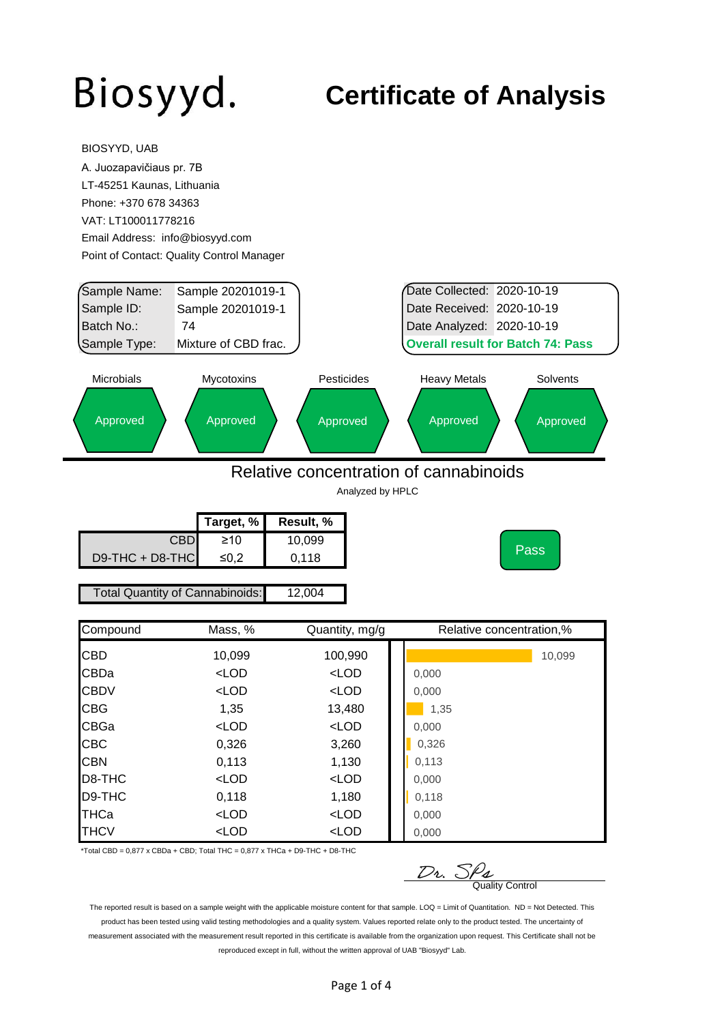BIOSYYD, UAB

#### **Certificate of Analysis**

| A. Juozapavičiaus pr. 7B        |                                                                         |                                        |                                          |          |
|---------------------------------|-------------------------------------------------------------------------|----------------------------------------|------------------------------------------|----------|
| LT-45251 Kaunas, Lithuania      |                                                                         |                                        |                                          |          |
| Phone: +370 678 34363           |                                                                         |                                        |                                          |          |
| VAT: LT100011778216             |                                                                         |                                        |                                          |          |
| Email Address: info@biosyyd.com |                                                                         |                                        |                                          |          |
|                                 | Point of Contact: Quality Control Manager                               |                                        |                                          |          |
|                                 |                                                                         |                                        |                                          |          |
| Sample Name:                    | Sample 20201019-1                                                       |                                        | Date Collected: 2020-10-19               |          |
| Sample ID:                      | Sample 20201019-1                                                       |                                        | Date Received: 2020-10-19                |          |
| Batch No.:                      | 74                                                                      |                                        | Date Analyzed: 2020-10-19                |          |
| Sample Type:                    | Mixture of CBD frac.                                                    |                                        | <b>Overall result for Batch 74: Pass</b> |          |
| <b>Microbials</b>               | Mycotoxins                                                              | Pesticides                             | <b>Heavy Metals</b>                      | Solvents |
|                                 |                                                                         |                                        |                                          |          |
| Approved                        | Approved                                                                | Approved                               | Approved                                 | Approved |
|                                 |                                                                         |                                        |                                          |          |
|                                 |                                                                         |                                        |                                          |          |
|                                 |                                                                         | Relative concentration of cannabinoids |                                          |          |
|                                 |                                                                         | Analyzed by HPLC                       |                                          |          |
|                                 | Target, %                                                               | Result, %                              |                                          |          |
|                                 | <b>CBD</b><br>$\geq 10$                                                 | 10,099                                 |                                          |          |
| D9-THC + D8-THC                 | $≤0,2$                                                                  | 0,118                                  |                                          | Pass     |
|                                 |                                                                         |                                        |                                          |          |
|                                 | <b>Total Quantity of Cannabinoids:</b>                                  | 12,004                                 |                                          |          |
| Compound                        | Mass, %                                                                 | Quantity, mg/g                         | Relative concentration,%                 |          |
|                                 |                                                                         |                                        |                                          |          |
| CBD                             | 10,099                                                                  | 100,990                                |                                          | 10,099   |
| CBDa                            | $<$ LOD                                                                 | $<$ LOD                                | 0,000                                    |          |
| <b>CBDV</b>                     | <lod< td=""><td><math>&lt;</math>LOD</td><td>0,000</td><td></td></lod<> | $<$ LOD                                | 0,000                                    |          |
| CBG                             | 1,35                                                                    | 13,480                                 | 1,35                                     |          |
| CBGa                            | $<$ LOD                                                                 | $<$ LOD                                | 0,000                                    |          |
| CBC                             | 0,326                                                                   | 3,260                                  | 0,326                                    |          |
| <b>CBN</b>                      | 0,113                                                                   | 1,130                                  | 0,113                                    |          |
| D8-THC                          | $<$ LOD                                                                 | $<$ LOD                                | 0,000                                    |          |
| D9-THC                          | 0,118                                                                   | 1,180                                  | 0,118                                    |          |
| THCa                            |                                                                         |                                        |                                          |          |
| <b>THCV</b>                     | $<$ LOD<br>$<$ LOD                                                      | $<$ LOD<br>$<$ LOD                     | 0,000<br>0,000                           |          |

\*Total CBD =  $0,877$  x CBDa + CBD; Total THC =  $0,877$  x THCa + D9-THC + D8-THC

 $\n *D*$ <sub>2</sub>.  $\frac{S}{Q}$ <sub>Quality Control</sub>

The reported result is based on a sample weight with the applicable moisture content for that sample. LOQ = Limit of Quantitation. ND = Not Detected. This product has been tested using valid testing methodologies and a quality system. Values reported relate only to the product tested. The uncertainty of measurement associated with the measurement result reported in this certificate is available from the organization upon request. This Certificate shall not be reproduced except in full, without the written approval of UAB "Biosyyd" Lab.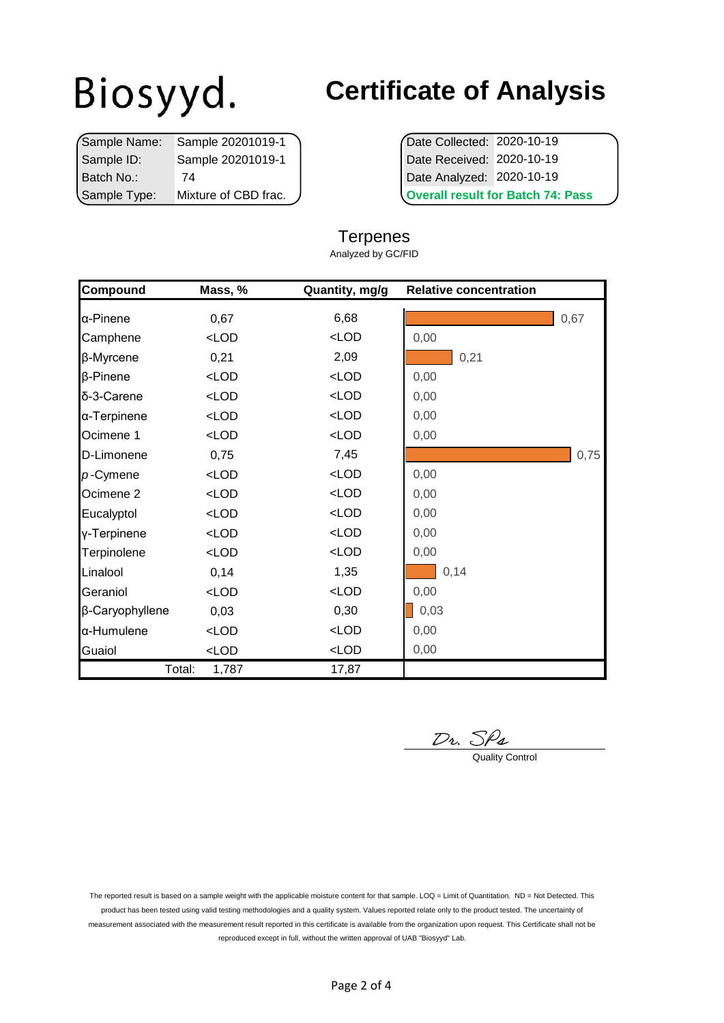|              | Sample Name: Sample 20201019-1 | Date Collected: 2020-10-19         |  |
|--------------|--------------------------------|------------------------------------|--|
| Sample ID:   | Sample 20201019-1              | Date Received: 2020-10-19          |  |
| Batch No.:   | 74                             | Date Analyzed: 2020-10-19          |  |
| Sample Type: | Mixture of CBD frac.           | <b>Overall result for Batch 74</b> |  |

### **Certificate of Analysis**

**Overall result for Batch 74: Pass** 

#### **Terpenes**

Analyzed by GC/FID

| Compound             | Mass, %         | Quantity, mg/g | <b>Relative concentration</b> |      |
|----------------------|-----------------|----------------|-------------------------------|------|
| α-Pinene             | 0,67            | 6,68           |                               | 0,67 |
| Camphene             | $<$ LOD         | $<$ LOD        | 0,00                          |      |
| β-Myrcene            | 0,21            | 2,09           | 0,21                          |      |
| β-Pinene             | $<$ LOD         | $<$ LOD        | 0,00                          |      |
| δ-3-Carene           | $<$ LOD         | $<$ LOD        | 0,00                          |      |
| α-Terpinene          | $<$ LOD         | $<$ LOD        | 0,00                          |      |
| Ocimene 1            | $<$ LOD         | $<$ LOD        | 0,00                          |      |
| D-Limonene           | 0,75            | 7,45           |                               | 0,75 |
| $p$ -Cymene          | $<$ LOD         | $<$ LOD        | 0,00                          |      |
| Ocimene <sub>2</sub> | $<$ LOD         | $<$ LOD        | 0,00                          |      |
| Eucalyptol           | $<$ LOD         | $<$ LOD        | 0,00                          |      |
| y-Terpinene          | $<$ LOD         | $<$ LOD        | 0,00                          |      |
| Terpinolene          | $<$ LOD         | $<$ LOD        | 0,00                          |      |
| Linalool             | 0,14            | 1,35           | 0,14                          |      |
| Geraniol             | $<$ LOD         | $<$ LOD        | 0,00                          |      |
| β-Caryophyllene      | 0,03            | 0,30           | 0,03                          |      |
| α-Humulene           | $<$ LOD         | $<$ LOD        | 0,00                          |      |
| Guaiol               | $<$ LOD         | $<$ LOD        | 0,00                          |      |
|                      | Total:<br>1,787 | 17,87          |                               |      |

 $\n *D*$ *v*.  $S$  $\rho$ *<sub>4</sub>*  $\alpha$ 

The reported result is based on a sample weight with the applicable moisture content for that sample. LOQ = Limit of Quantitation. ND = Not Detected. This product has been tested using valid testing methodologies and a quality system. Values reported relate only to the product tested. The uncertainty of measurement associated with the measurement result reported in this certificate is available from the organization upon request. This Certificate shall not be reproduced except in full, without the written approval of UAB "Biosyyd" Lab.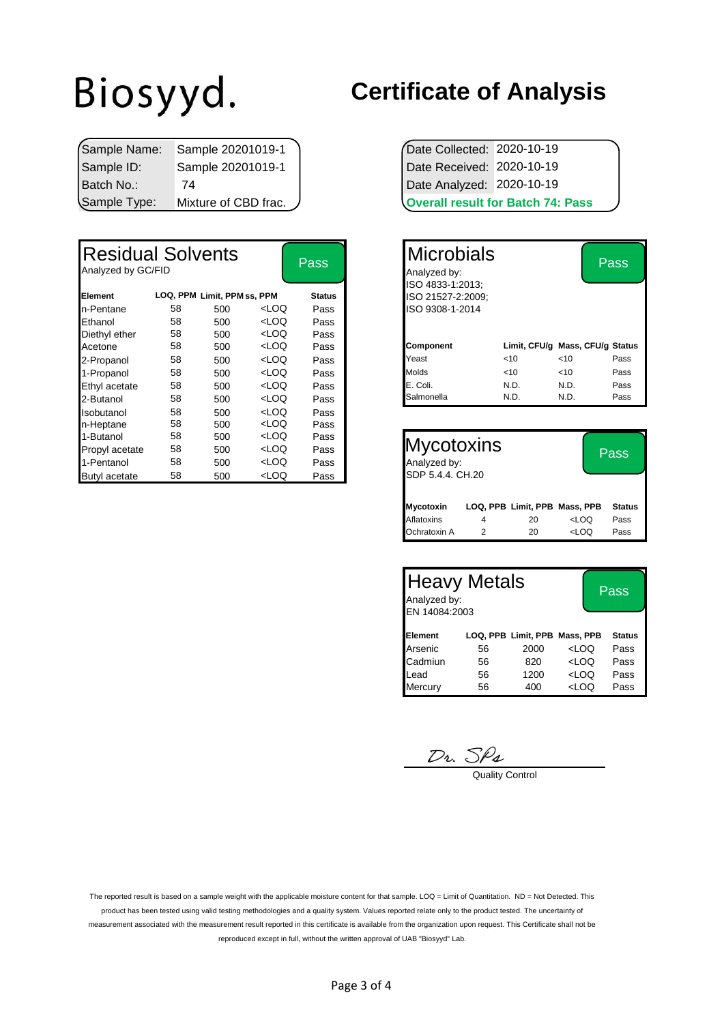|              | Sample Name: Sample 20201019-1 | Date Collected: 2020-10-19 |                                          |
|--------------|--------------------------------|----------------------------|------------------------------------------|
| Sample ID:   | Sample 20201019-1              | Date Received: 2020-10-19  |                                          |
| l Batch No.∶ | 74                             | Date Analyzed: 2020-10-19  |                                          |
| Sample Type: | Mixture of CBD frac.           |                            | <b>Overall result for Batch 74: Pass</b> |

| <b>Residual Solvents</b><br>Analyzed by GC/FID |    |                             |                                                                                                              | Pass          | <b>Microbials</b><br>Analyzed by:<br>ISO 4833-1:2013; |      |        | Pass                            |
|------------------------------------------------|----|-----------------------------|--------------------------------------------------------------------------------------------------------------|---------------|-------------------------------------------------------|------|--------|---------------------------------|
| Element                                        |    | LOQ, PPM Limit, PPM ss, PPM |                                                                                                              | <b>Status</b> | ISO 21527-2:2009:                                     |      |        |                                 |
| In-Pentane                                     | 58 | 500                         | <loq< td=""><td>Pass</td><td>ISO 9308-1-2014</td><td></td><td></td><td></td></loq<>                          | Pass          | ISO 9308-1-2014                                       |      |        |                                 |
| Ethanol                                        | 58 | 500                         | <loq< td=""><td>Pass</td><td></td><td></td><td></td><td></td></loq<>                                         | Pass          |                                                       |      |        |                                 |
| Diethyl ether                                  | 58 | 500                         | <loq< td=""><td>Pass</td><td></td><td></td><td></td><td></td></loq<>                                         | Pass          |                                                       |      |        |                                 |
| Acetone                                        | 58 | 500                         | <loq< td=""><td>Pass</td><td>Component</td><td></td><td></td><td>Limit, CFU/g Mass, CFU/g Status</td></loq<> | Pass          | Component                                             |      |        | Limit, CFU/g Mass, CFU/g Status |
| 2-Propanol                                     | 58 | 500                         | <loq< td=""><td>Pass</td><td>Yeast</td><td>&lt; 10</td><td><math>&lt;</math>10</td><td>Pass</td></loq<>      | Pass          | Yeast                                                 | < 10 | $<$ 10 | Pass                            |
| 1-Propanol                                     | 58 | 500                         | <loq< td=""><td>Pass</td><td>Molds</td><td>&lt; 10</td><td>&lt; 10</td><td>Pass</td></loq<>                  | Pass          | Molds                                                 | < 10 | < 10   | Pass                            |
| Ethyl acetate                                  | 58 | 500                         | <loq< td=""><td>Pass</td><td>E. Coli.</td><td>N.D.</td><td>N.D.</td><td>Pass</td></loq<>                     | Pass          | E. Coli.                                              | N.D. | N.D.   | Pass                            |
| 2-Butanol                                      | 58 | 500                         | <loq< td=""><td>Pass</td><td>Salmonella</td><td>N.D.</td><td>N.D.</td><td>Pass</td></loq<>                   | Pass          | Salmonella                                            | N.D. | N.D.   | Pass                            |
| Isobutanol                                     | 58 | 500                         | <loq< td=""><td>Pass</td><td></td><td></td><td></td><td></td></loq<>                                         | Pass          |                                                       |      |        |                                 |
| n-Heptane                                      | 58 | 500                         | <loq< td=""><td>Pass</td><td></td><td></td><td></td><td></td></loq<>                                         | Pass          |                                                       |      |        |                                 |
| 1-Butanol                                      | 58 | 500                         | <loq< td=""><td>Pass</td><td></td><td></td><td></td><td></td></loq<>                                         | Pass          |                                                       |      |        |                                 |
| Propyl acetate                                 | 58 | 500                         | <loq< td=""><td>Pass</td><td>Mycotoxins</td><td></td><td></td><td>Pass</td></loq<>                           | Pass          | Mycotoxins                                            |      |        | Pass                            |
| 1-Pentanol                                     | 58 | 500                         | <loq< td=""><td>Pass</td><td>Analyzed by:</td><td></td><td></td><td></td></loq<>                             | Pass          | Analyzed by:                                          |      |        |                                 |
| <b>Butyl acetate</b>                           | 58 | 500                         | <loq< td=""><td>Pass</td><td>SDP 5.4.4, CH.20</td><td></td><td></td><td></td></loq<>                         | Pass          | SDP 5.4.4, CH.20                                      |      |        |                                 |

#### **Certificate of Analysis**

|                            | <b>Overall result for Batch 74: Pass</b> |
|----------------------------|------------------------------------------|
| Date Analyzed: 2020-10-19  |                                          |
| Date Received: 2020-10-19  |                                          |
| Date Collected: 2020-10-19 |                                          |

| <b>Pass</b>              | Microbials<br>Analyzed by:            |        |                                 | Pass |
|--------------------------|---------------------------------------|--------|---------------------------------|------|
| <b>Status</b>            | ISO 4833-1:2013:<br>ISO 21527-2:2009; |        |                                 |      |
| Pass                     | ISO 9308-1-2014                       |        |                                 |      |
| Pass                     |                                       |        |                                 |      |
| Pass                     |                                       |        |                                 |      |
| Pass                     | <b>Component</b>                      |        | Limit, CFU/g Mass, CFU/g Status |      |
| Pass                     | Yeast                                 | <10    | < 10                            | Pass |
| Pass                     | Molds                                 | $<$ 10 | ~10                             | Pass |
| Pass                     | E. Coli.                              | N.D.   | N.D.                            | Pass |
| Pass                     | Salmonella                            | N.D.   | N.D.                            | Pass |
| $\overline{\phantom{0}}$ |                                       |        |                                 |      |

| <b>Mycotoxins</b><br>Analyzed by:<br>SDP 5.4.4. CH.20 |   | Pass                          |                                  |               |
|-------------------------------------------------------|---|-------------------------------|----------------------------------|---------------|
| Mycotoxin                                             |   | LOQ, PPB Limit, PPB Mass, PPB |                                  | <b>Status</b> |
| Aflatoxins                                            | 4 | 20                            | <loq< td=""><td>Pass</td></loq<> | Pass          |
| Ochratoxin A                                          |   | 20                            | <loq< td=""><td>Pass</td></loq<> | Pass          |

| <b>Heavy Metals</b><br>Analyzed by:<br>EN 14084:2003 |    | Pass                          |                                  |               |
|------------------------------------------------------|----|-------------------------------|----------------------------------|---------------|
| Element                                              |    | LOQ, PPB Limit, PPB Mass, PPB |                                  | <b>Status</b> |
| Arsenic                                              | 56 | 2000                          | <loq< td=""><td>Pass</td></loq<> | Pass          |
| Cadmiun                                              | 56 | 820                           | <loq< td=""><td>Pass</td></loq<> | Pass          |
| Lead                                                 | 56 | 1200                          | <loq< td=""><td>Pass</td></loq<> | Pass          |
| Mercury                                              | 56 | 400                           | <loq< td=""><td>Pass</td></loq<> | Pass          |

 $D_1$ ,  $\frac{D_2}{D_3}$ 

The reported result is based on a sample weight with the applicable moisture content for that sample. LOQ = Limit of Quantitation. ND = Not Detected. This product has been tested using valid testing methodologies and a quality system. Values reported relate only to the product tested. The uncertainty of measurement associated with the measurement result reported in this certificate is available from the organization upon request. This Certificate shall not be reproduced except in full, without the written approval of UAB "Biosyyd" Lab.